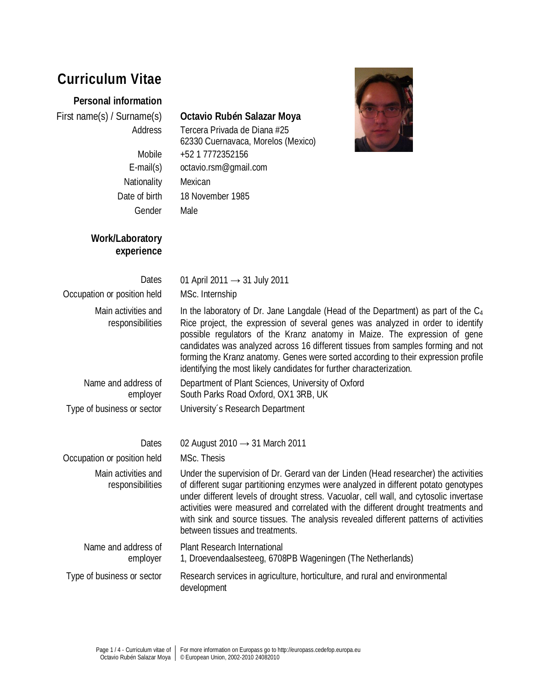# **Curriculum Vitae**

### **Personal information**

Nationality Mexican Gender Male

**Work/Laboratory** 

**experience**

## First name(s) / Surname(s) **Octavio Rubén Salazar Moya**

Address Tercera Privada de Diana #25 62330 Cuernavaca, Morelos (Mexico) Mobile +52 1 7772352156 E-mail(s) octavio.rsm@gmail.com Date of birth 18 November 1985



#### Dates 01 April 2011  $\rightarrow$  31 July 2011 Occupation or position held MSc. Internship Main activities and responsibilities In the laboratory of Dr. Jane Langdale (Head of the Department) as part of the  $C_4$ Rice project, the expression of several genes was analyzed in order to identify possible regulators of the Kranz anatomy in Maize. The expression of gene candidates was analyzed across 16 different tissues from samples forming and not forming the Kranz anatomy. Genes were sorted according to their expression profile identifying the most likely candidates for further characterization. Name and address of employer Department of Plant Sciences, University of Oxford South Parks Road Oxford, OX1 3RB, UK Type of business or sector University´s Research Department

| Dates                                   | 02 August 2010 $\rightarrow$ 31 March 2011                                                                                                                                                                                                                                                                                                                                                                                                                                           |
|-----------------------------------------|--------------------------------------------------------------------------------------------------------------------------------------------------------------------------------------------------------------------------------------------------------------------------------------------------------------------------------------------------------------------------------------------------------------------------------------------------------------------------------------|
| Occupation or position held             | MSc. Thesis                                                                                                                                                                                                                                                                                                                                                                                                                                                                          |
| Main activities and<br>responsibilities | Under the supervision of Dr. Gerard van der Linden (Head researcher) the activities<br>of different sugar partitioning enzymes were analyzed in different potato genotypes<br>under different levels of drought stress. Vacuolar, cell wall, and cytosolic invertase<br>activities were measured and correlated with the different drought treatments and<br>with sink and source tissues. The analysis revealed different patterns of activities<br>between tissues and treatments. |
| Name and address of<br>employer         | Plant Research International<br>1, Droevendaalsesteeg, 6708PB Wageningen (The Netherlands)                                                                                                                                                                                                                                                                                                                                                                                           |
| Type of business or sector              | Research services in agriculture, horticulture, and rural and environmental<br>development                                                                                                                                                                                                                                                                                                                                                                                           |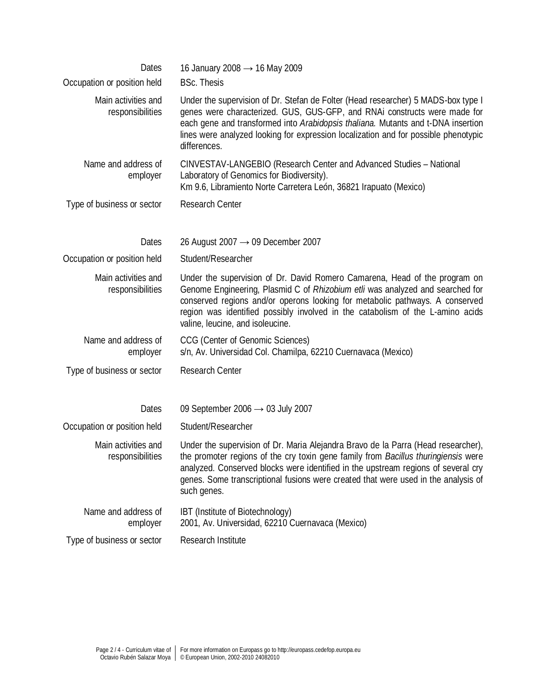| Dates<br>Occupation or position held    | 16 January 2008 $\rightarrow$ 16 May 2009<br><b>BSc. Thesis</b>                                                                                                                                                                                                                                                                                                   |
|-----------------------------------------|-------------------------------------------------------------------------------------------------------------------------------------------------------------------------------------------------------------------------------------------------------------------------------------------------------------------------------------------------------------------|
| Main activities and<br>responsibilities | Under the supervision of Dr. Stefan de Folter (Head researcher) 5 MADS-box type I<br>genes were characterized. GUS, GUS-GFP, and RNAi constructs were made for<br>each gene and transformed into Arabidopsis thaliana. Mutants and t-DNA insertion<br>lines were analyzed looking for expression localization and for possible phenotypic<br>differences.         |
| Name and address of<br>employer         | CINVESTAV-LANGEBIO (Research Center and Advanced Studies - National<br>Laboratory of Genomics for Biodiversity).<br>Km 9.6, Libramiento Norte Carretera León, 36821 Irapuato (Mexico)                                                                                                                                                                             |
| Type of business or sector              | <b>Research Center</b>                                                                                                                                                                                                                                                                                                                                            |
| Dates                                   | 26 August 2007 $\rightarrow$ 09 December 2007                                                                                                                                                                                                                                                                                                                     |
| Occupation or position held             | Student/Researcher                                                                                                                                                                                                                                                                                                                                                |
| Main activities and<br>responsibilities | Under the supervision of Dr. David Romero Camarena, Head of the program on<br>Genome Engineering, Plasmid C of Rhizobium etli was analyzed and searched for<br>conserved regions and/or operons looking for metabolic pathways. A conserved<br>region was identified possibly involved in the catabolism of the L-amino acids<br>valine, leucine, and isoleucine. |
| Name and address of<br>employer         | CCG (Center of Genomic Sciences)<br>s/n, Av. Universidad Col. Chamilpa, 62210 Cuernavaca (Mexico)                                                                                                                                                                                                                                                                 |
| Type of business or sector              | <b>Research Center</b>                                                                                                                                                                                                                                                                                                                                            |
| Dates                                   | 09 September 2006 $\rightarrow$ 03 July 2007                                                                                                                                                                                                                                                                                                                      |
| Occupation or position held             | Student/Researcher                                                                                                                                                                                                                                                                                                                                                |
| Main activities and<br>responsibilities | Under the supervision of Dr. Maria Alejandra Bravo de la Parra (Head researcher),<br>the promoter regions of the cry toxin gene family from Bacillus thuringiensis were<br>analyzed. Conserved blocks were identified in the upstream regions of several cry<br>genes. Some transcriptional fusions were created that were used in the analysis of<br>such genes. |
| Name and address of<br>employer         | IBT (Institute of Biotechnology)<br>2001, Av. Universidad, 62210 Cuernavaca (Mexico)                                                                                                                                                                                                                                                                              |
| Type of business or sector              | <b>Research Institute</b>                                                                                                                                                                                                                                                                                                                                         |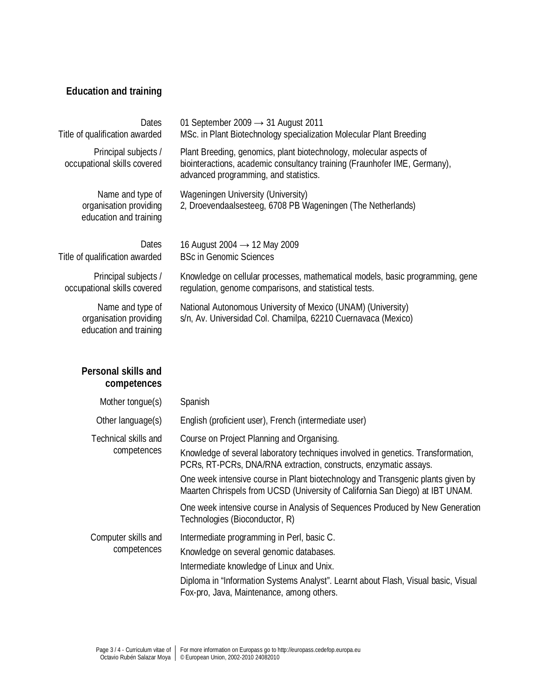# **Education and training**

| <b>Dates</b><br>Title of qualification awarded                       | 01 September 2009 $\rightarrow$ 31 August 2011<br>MSc. in Plant Biotechnology specialization Molecular Plant Breeding                                                                     |
|----------------------------------------------------------------------|-------------------------------------------------------------------------------------------------------------------------------------------------------------------------------------------|
| Principal subjects /<br>occupational skills covered                  | Plant Breeding, genomics, plant biotechnology, molecular aspects of<br>biointeractions, academic consultancy training (Fraunhofer IME, Germany),<br>advanced programming, and statistics. |
| Name and type of<br>organisation providing<br>education and training | Wageningen University (University)<br>2, Droevendaalsesteeg, 6708 PB Wageningen (The Netherlands)                                                                                         |
| <b>Dates</b>                                                         | 16 August 2004 $\rightarrow$ 12 May 2009                                                                                                                                                  |
| Title of qualification awarded                                       | <b>BSc in Genomic Sciences</b>                                                                                                                                                            |
| Principal subjects /<br>occupational skills covered                  | Knowledge on cellular processes, mathematical models, basic programming, gene<br>regulation, genome comparisons, and statistical tests.                                                   |
| Name and type of<br>organisation providing<br>education and training | National Autonomous University of Mexico (UNAM) (University)<br>s/n, Av. Universidad Col. Chamilpa, 62210 Cuernavaca (Mexico)                                                             |

# **Personal skills and competences**

| Mother tongue(s)                    | Spanish                                                                                                                                                                                                                                                                                                                                                                                                                                                 |
|-------------------------------------|---------------------------------------------------------------------------------------------------------------------------------------------------------------------------------------------------------------------------------------------------------------------------------------------------------------------------------------------------------------------------------------------------------------------------------------------------------|
| Other language(s)                   | English (proficient user), French (intermediate user)                                                                                                                                                                                                                                                                                                                                                                                                   |
| Technical skills and<br>competences | Course on Project Planning and Organising.<br>Knowledge of several laboratory techniques involved in genetics. Transformation,<br>PCRs, RT-PCRs, DNA/RNA extraction, constructs, enzymatic assays.<br>One week intensive course in Plant biotechnology and Transgenic plants given by<br>Maarten Chrispels from UCSD (University of California San Diego) at IBT UNAM.<br>One week intensive course in Analysis of Sequences Produced by New Generation |
| Computer skills and<br>competences  | Technologies (Bioconductor, R)<br>Intermediate programming in Perl, basic C.<br>Knowledge on several genomic databases.<br>Intermediate knowledge of Linux and Unix.<br>Diploma in "Information Systems Analyst". Learnt about Flash, Visual basic, Visual<br>Fox-pro, Java, Maintenance, among others.                                                                                                                                                 |